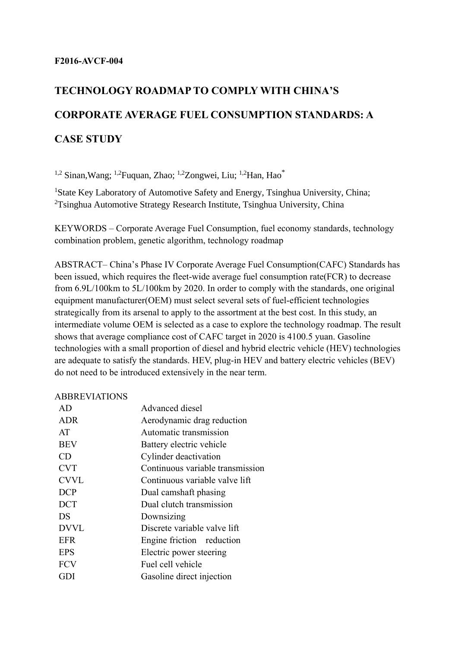# **TECHNOLOGY ROADMAP TO COMPLY WITH CHINA'S CORPORATE AVERAGE FUEL CONSUMPTION STANDARDS: A CASE STUDY**

<sup>1,2</sup> Sinan, Wang; <sup>1,2</sup> Fuquan, Zhao; <sup>1,2</sup> Zongwei, Liu; <sup>1,2</sup> Han, Hao<sup>\*</sup>

<sup>1</sup>State Key Laboratory of Automotive Safety and Energy, Tsinghua University, China; <sup>2</sup>Tsinghua Automotive Strategy Research Institute, Tsinghua University, China

KEYWORDS – Corporate Average Fuel Consumption, fuel economy standards, technology combination problem, genetic algorithm, technology roadmap

ABSTRACT– China's Phase IV Corporate Average Fuel Consumption(CAFC) Standards has been issued, which requires the fleet-wide average fuel consumption rate(FCR) to decrease from 6.9L/100km to 5L/100km by 2020. In order to comply with the standards, one original equipment manufacturer(OEM) must select several sets of fuel-efficient technologies strategically from its arsenal to apply to the assortment at the best cost. In this study, an intermediate volume OEM is selected as a case to explore the technology roadmap. The result shows that average compliance cost of CAFC target in 2020 is 4100.5 yuan. Gasoline technologies with a small proportion of diesel and hybrid electric vehicle (HEV) technologies are adequate to satisfy the standards. HEV, plug-in HEV and battery electric vehicles (BEV) do not need to be introduced extensively in the near term.

## ABBREVIATIONS

| AD          | Advanced diesel                  |
|-------------|----------------------------------|
| <b>ADR</b>  | Aerodynamic drag reduction       |
| AT          | Automatic transmission           |
| <b>BEV</b>  | Battery electric vehicle         |
| CD.         | Cylinder deactivation            |
| <b>CVT</b>  | Continuous variable transmission |
| <b>CVVL</b> | Continuous variable valve lift   |
| <b>DCP</b>  | Dual camshaft phasing            |
| <b>DCT</b>  | Dual clutch transmission         |
| <b>DS</b>   | Downsizing                       |
| <b>DVVL</b> | Discrete variable valve lift     |
| EFR         | Engine friction reduction        |
| <b>EPS</b>  | Electric power steering          |
| <b>FCV</b>  | Fuel cell vehicle                |
| GDI         | Gasoline direct injection        |
|             |                                  |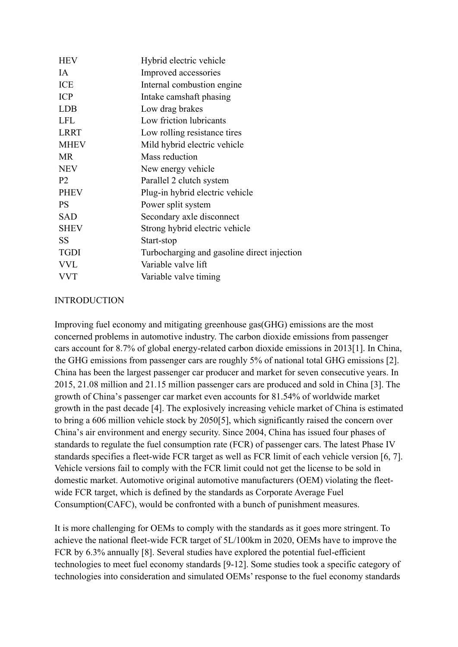| <b>HEV</b>     | Hybrid electric vehicle                     |
|----------------|---------------------------------------------|
| <b>IA</b>      | Improved accessories                        |
| <b>ICE</b>     | Internal combustion engine                  |
| <b>ICP</b>     | Intake camshaft phasing                     |
| <b>LDB</b>     | Low drag brakes                             |
| <b>LFL</b>     | Low friction lubricants                     |
| <b>LRRT</b>    | Low rolling resistance tires                |
| <b>MHEV</b>    | Mild hybrid electric vehicle                |
| <b>MR</b>      | Mass reduction                              |
| <b>NEV</b>     | New energy vehicle                          |
| P <sub>2</sub> | Parallel 2 clutch system                    |
| <b>PHEV</b>    | Plug-in hybrid electric vehicle             |
| <b>PS</b>      | Power split system                          |
| <b>SAD</b>     | Secondary axle disconnect                   |
| <b>SHEV</b>    | Strong hybrid electric vehicle              |
| <b>SS</b>      | Start-stop                                  |
| <b>TGDI</b>    | Turbocharging and gasoline direct injection |
| <b>VVL</b>     | Variable valve lift                         |
| VVT            | Variable valve timing                       |
|                |                                             |

## INTRODUCTION

Improving fuel economy and mitigating greenhouse gas(GHG) emissions are the most concerned problems in automotive industry. The carbon dioxide emissions from passenger cars account for 8.7% of global energy-related carbon dioxide emissions in 2013[1]. In China, the GHG emissions from passenger cars are roughly 5% of national total GHG emissions [2]. China has been the largest passenger car producer and market for seven consecutive years. In 2015, 21.08 million and 21.15 million passenger cars are produced and sold in China [3]. The growth of China's passenger car market even accounts for 81.54% of worldwide market growth in the past decade [4]. The explosively increasing vehicle market of China is estimated to bring a 606 million vehicle stock by 2050[5], which significantly raised the concern over China's air environment and energy security. Since 2004, China has issued four phases of standards to regulate the fuel consumption rate (FCR) of passenger cars. The latest Phase IV standards specifies a fleet-wide FCR target as well as FCR limit of each vehicle version [6, 7]. Vehicle versions fail to comply with the FCR limit could not get the license to be sold in domestic market. Automotive original automotive manufacturers (OEM) violating the fleetwide FCR target, which is defined by the standards as Corporate Average Fuel Consumption(CAFC), would be confronted with a bunch of punishment measures.

It is more challenging for OEMs to comply with the standards as it goes more stringent. To achieve the national fleet-wide FCR target of 5L/100km in 2020, OEMs have to improve the FCR by 6.3% annually [8]. Several studies have explored the potential fuel-efficient technologies to meet fuel economy standards [9-12]. Some studies took a specific category of technologies into consideration and simulated OEMs' response to the fuel economy standards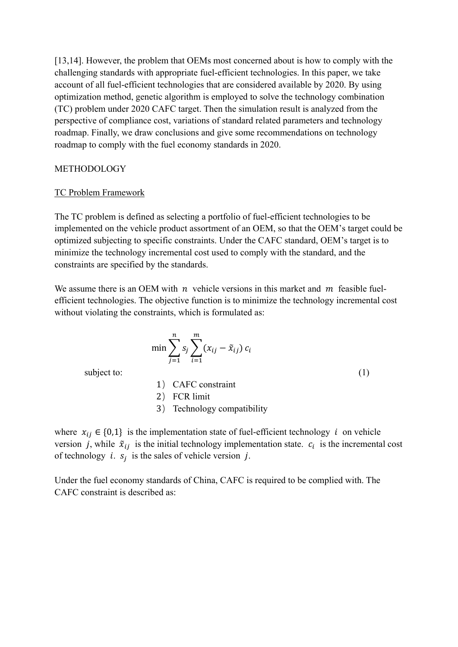[13,14]. However, the problem that OEMs most concerned about is how to comply with the challenging standards with appropriate fuel-efficient technologies. In this paper, we take account of all fuel-efficient technologies that are considered available by 2020. By using optimization method, genetic algorithm is employed to solve the technology combination (TC) problem under 2020 CAFC target. Then the simulation result is analyzed from the perspective of compliance cost, variations of standard related parameters and technology roadmap. Finally, we draw conclusions and give some recommendations on technology roadmap to comply with the fuel economy standards in 2020.

## METHODOLOGY

#### TC Problem Framework

The TC problem is defined as selecting a portfolio of fuel-efficient technologies to be implemented on the vehicle product assortment of an OEM, so that the OEM's target could be optimized subjecting to specific constraints. Under the CAFC standard, OEM's target is to minimize the technology incremental cost used to comply with the standard, and the constraints are specified by the standards.

We assume there is an OEM with  $n$  vehicle versions in this market and  $m$  feasible fuelefficient technologies. The objective function is to minimize the technology incremental cost without violating the constraints, which is formulated as:

$$
\min \sum_{j=1}^{n} s_j \sum_{i=1}^{m} (x_{ij} - \tilde{x}_{ij}) c_i
$$

subject to: (1)

1) CAFC constraint

2) FCR limit

3) Technology compatibility

where  $x_{ii} \in \{0,1\}$  is the implementation state of fuel-efficient technology *i* on vehicle version *j*, while  $\tilde{x}_{ij}$  is the initial technology implementation state.  $c_i$  is the incremental cost of technology *i*.  $s_j$  is the sales of vehicle version *j*.

Under the fuel economy standards of China, CAFC is required to be complied with. The CAFC constraint is described as: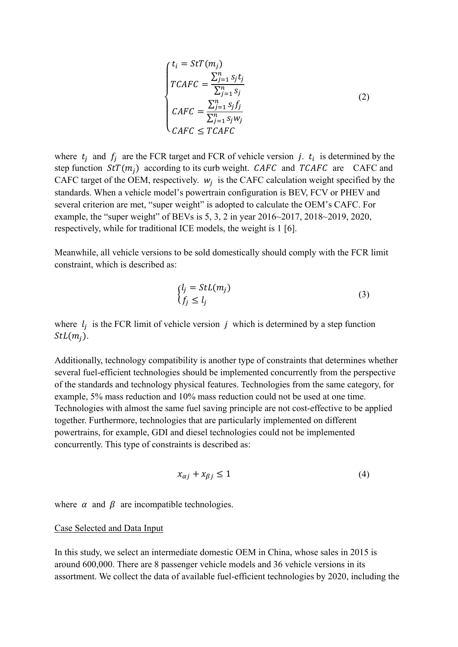$$
\begin{cases}\nt_i = Str(m_j) \\
TCAFC = \frac{\sum_{j=1}^{n} s_j t_j}{\sum_{j=1}^{n} s_j} \\
CAFC = \frac{\sum_{j=1}^{n} s_j f_j}{\sum_{j=1}^{n} s_j w_j}\n\end{cases}
$$
\n(2)

where  $t_j$  and  $f_j$  are the FCR target and FCR of vehicle version j.  $t_i$  is determined by the step function  $StT(m_i)$  according to its curb weight. CAFC and TCAFC are CAFC and CAFC target of the OEM, respectively.  $w_j$  is the CAFC calculation weight specified by the standards. When a vehicle model's powertrain configuration is BEV, FCV or PHEV and several criterion are met, "super weight" is adopted to calculate the OEM's CAFC. For example, the "super weight" of BEVs is 5, 3, 2 in year 2016~2017, 2018~2019, 2020, respectively, while for traditional ICE models, the weight is 1 [6].

Meanwhile, all vehicle versions to be sold domestically should comply with the FCR limit constraint, which is described as:

$$
\begin{cases}\n l_j = StL(m_j) \\
 f_j \le l_j\n\end{cases} \tag{3}
$$

where  $l_j$  is the FCR limit of vehicle version j which is determined by a step function  $StL(m_i)$ .

Additionally, technology compatibility is another type of constraints that determines whether several fuel-efficient technologies should be implemented concurrently from the perspective of the standards and technology physical features. Technologies from the same category, for example, 5% mass reduction and 10% mass reduction could not be used at one time. Technologies with almost the same fuel saving principle are not cost-effective to be applied together. Furthermore, technologies that are particularly implemented on different powertrains, for example, GDI and diesel technologies could not be implemented concurrently. This type of constraints is described as:

$$
x_{\alpha j} + x_{\beta j} \le 1 \tag{4}
$$

where  $\alpha$  and  $\beta$  are incompatible technologies.

#### Case Selected and Data Input

In this study, we select an intermediate domestic OEM in China, whose sales in 2015 is around 600,000. There are 8 passenger vehicle models and 36 vehicle versions in its assortment. We collect the data of available fuel-efficient technologies by 2020, including the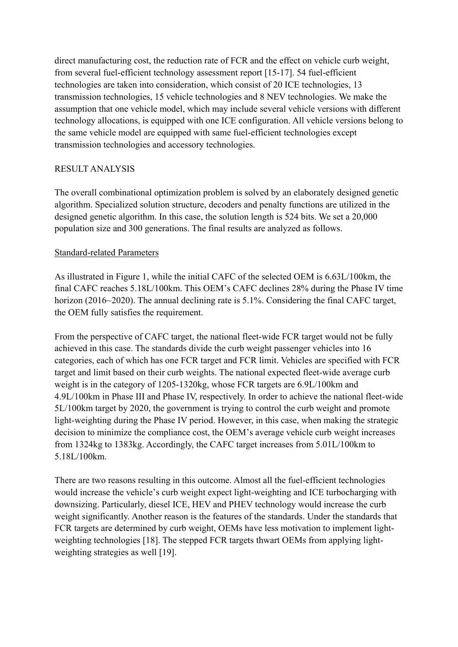direct manufacturing cost, the reduction rate of FCR and the effect on vehicle curb weight, from several fuel-efficient technology assessment report [15-17]. 54 fuel-efficient technologies are taken into consideration, which consist of 20 ICE technologies, 13 transmission technologies, 15 vehicle technologies and 8 NEV technologies. We make the assumption that one vehicle model, which may include several vehicle versions with different technology allocations, is equipped with one ICE configuration. All vehicle versions belong to the same vehicle model are equipped with same fuel-efficient technologies except transmission technologies and accessory technologies.

# RESULT ANALYSIS

The overall combinational optimization problem is solved by an elaborately designed genetic algorithm. Specialized solution structure, decoders and penalty functions are utilized in the designed genetic algorithm. In this case, the solution length is 524 bits. We set a 20,000 population size and 300 generations. The final results are analyzed as follows.

# Standard-related Parameters

As illustrated in Figure 1, while the initial CAFC of the selected OEM is 6.63L/100km, the final CAFC reaches 5.18L/100km. This OEM's CAFC declines 28% during the Phase IV time horizon (2016~2020). The annual declining rate is 5.1%. Considering the final CAFC target, the OEM fully satisfies the requirement.

From the perspective of CAFC target, the national fleet-wide FCR target would not be fully achieved in this case. The standards divide the curb weight passenger vehicles into 16 categories, each of which has one FCR target and FCR limit. Vehicles are specified with FCR target and limit based on their curb weights. The national expected fleet-wide average curb weight is in the category of 1205-1320kg, whose FCR targets are 6.9L/100km and 4.9L/100km in Phase III and Phase IV, respectively. In order to achieve the national fleet-wide 5L/100km target by 2020, the government is trying to control the curb weight and promote light-weighting during the Phase IV period. However, in this case, when making the strategic decision to minimize the compliance cost, the OEM's average vehicle curb weight increases from 1324kg to 1383kg. Accordingly, the CAFC target increases from 5.01L/100km to 5.18L/100km.

There are two reasons resulting in this outcome. Almost all the fuel-efficient technologies would increase the vehicle's curb weight expect light-weighting and ICE turbocharging with downsizing. Particularly, diesel ICE, HEV and PHEV technology would increase the curb weight significantly. Another reason is the features of the standards. Under the standards that FCR targets are determined by curb weight, OEMs have less motivation to implement lightweighting technologies [18]. The stepped FCR targets thwart OEMs from applying lightweighting strategies as well [19].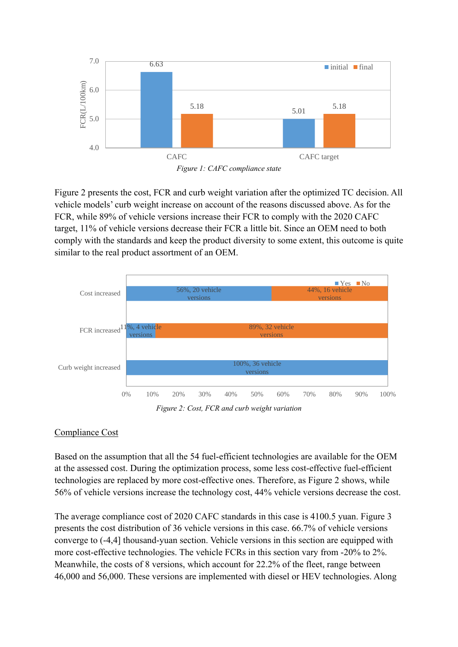

Figure 2 presents the cost, FCR and curb weight variation after the optimized TC decision. All vehicle models' curb weight increase on account of the reasons discussed above. As for the FCR, while 89% of vehicle versions increase their FCR to comply with the 2020 CAFC target, 11% of vehicle versions decrease their FCR a little bit. Since an OEM need to both comply with the standards and keep the product diversity to some extent, this outcome is quite similar to the real product assortment of an OEM.



*Figure 2: Cost, FCR and curb weight variation*

# Compliance Cost

Based on the assumption that all the 54 fuel-efficient technologies are available for the OEM at the assessed cost. During the optimization process, some less cost-effective fuel-efficient technologies are replaced by more cost-effective ones. Therefore, as Figure 2 shows, while 56% of vehicle versions increase the technology cost, 44% vehicle versions decrease the cost.

The average compliance cost of 2020 CAFC standards in this case is 4100.5 yuan. Figure 3 presents the cost distribution of 36 vehicle versions in this case. 66.7% of vehicle versions converge to (-4,4] thousand-yuan section. Vehicle versions in this section are equipped with more cost-effective technologies. The vehicle FCRs in this section vary from -20% to 2%. Meanwhile, the costs of 8 versions, which account for 22.2% of the fleet, range between 46,000 and 56,000. These versions are implemented with diesel or HEV technologies. Along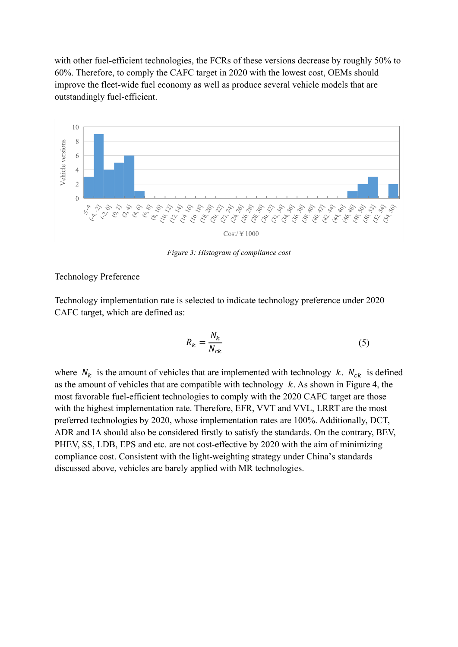with other fuel-efficient technologies, the FCRs of these versions decrease by roughly 50% to 60%. Therefore, to comply the CAFC target in 2020 with the lowest cost, OEMs should improve the fleet-wide fuel economy as well as produce several vehicle models that are outstandingly fuel-efficient.



*Figure 3: Histogram of compliance cost*

## Technology Preference

Technology implementation rate is selected to indicate technology preference under 2020 CAFC target, which are defined as:

$$
R_k = \frac{N_k}{N_{ck}}\tag{5}
$$

where  $N_k$  is the amount of vehicles that are implemented with technology  $k$ .  $N_{ck}$  is defined as the amount of vehicles that are compatible with technology  $k$ . As shown in Figure 4, the most favorable fuel-efficient technologies to comply with the 2020 CAFC target are those with the highest implementation rate. Therefore, EFR, VVT and VVL, LRRT are the most preferred technologies by 2020, whose implementation rates are 100%. Additionally, DCT, ADR and IA should also be considered firstly to satisfy the standards. On the contrary, BEV, PHEV, SS, LDB, EPS and etc. are not cost-effective by 2020 with the aim of minimizing compliance cost. Consistent with the light-weighting strategy under China's standards discussed above, vehicles are barely applied with MR technologies.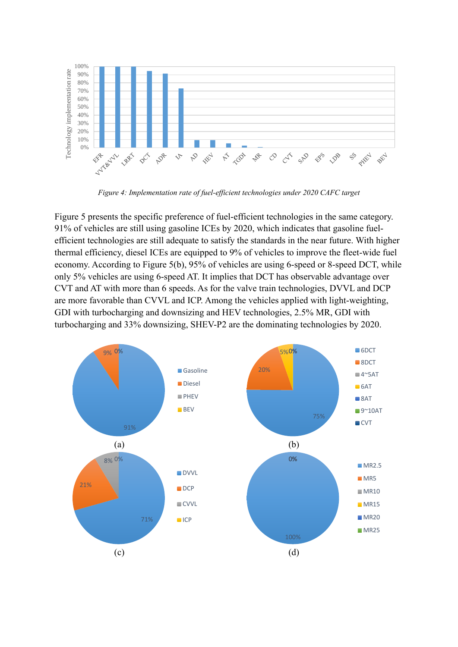

*Figure 4: Implementation rate of fuel-efficient technologies under 2020 CAFC target*

Figure 5 presents the specific preference of fuel-efficient technologies in the same category. 91% of vehicles are still using gasoline ICEs by 2020, which indicates that gasoline fuelefficient technologies are still adequate to satisfy the standards in the near future. With higher thermal efficiency, diesel ICEs are equipped to 9% of vehicles to improve the fleet-wide fuel economy. According to Figure 5(b), 95% of vehicles are using 6-speed or 8-speed DCT, while only 5% vehicles are using 6-speed AT. It implies that DCT has observable advantage over CVT and AT with more than 6 speeds. As for the valve train technologies, DVVL and DCP are more favorable than CVVL and ICP. Among the vehicles applied with light-weighting, GDI with turbocharging and downsizing and HEV technologies, 2.5% MR, GDI with turbocharging and 33% downsizing, SHEV-P2 are the dominating technologies by 2020.

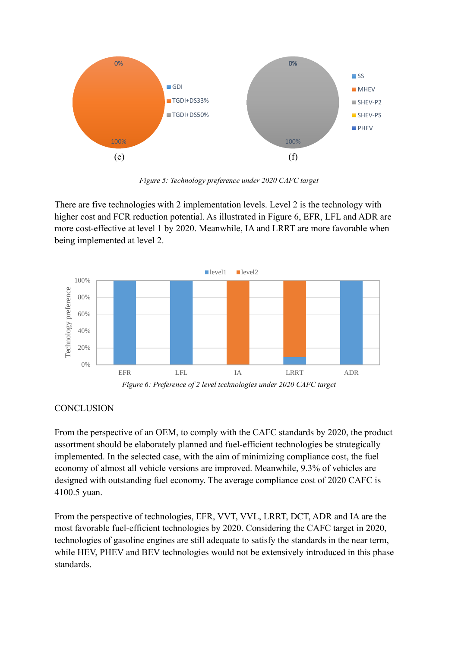

*Figure 5: Technology preference under 2020 CAFC target*

There are five technologies with 2 implementation levels. Level 2 is the technology with higher cost and FCR reduction potential. As illustrated in Figure 6, EFR, LFL and ADR are more cost-effective at level 1 by 2020. Meanwhile, IA and LRRT are more favorable when being implemented at level 2.



*Figure 6: Preference of 2 level technologies under 2020 CAFC target*

# **CONCLUSION**

From the perspective of an OEM, to comply with the CAFC standards by 2020, the product assortment should be elaborately planned and fuel-efficient technologies be strategically implemented. In the selected case, with the aim of minimizing compliance cost, the fuel economy of almost all vehicle versions are improved. Meanwhile, 9.3% of vehicles are designed with outstanding fuel economy. The average compliance cost of 2020 CAFC is 4100.5 yuan.

From the perspective of technologies, EFR, VVT, VVL, LRRT, DCT, ADR and IA are the most favorable fuel-efficient technologies by 2020. Considering the CAFC target in 2020, technologies of gasoline engines are still adequate to satisfy the standards in the near term, while HEV, PHEV and BEV technologies would not be extensively introduced in this phase standards.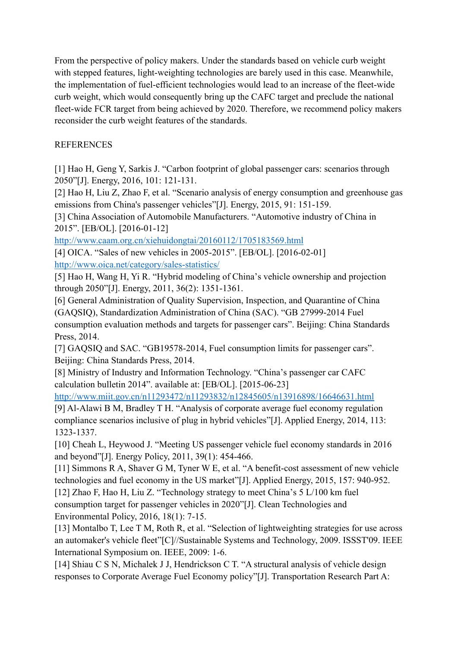From the perspective of policy makers. Under the standards based on vehicle curb weight with stepped features, light-weighting technologies are barely used in this case. Meanwhile, the implementation of fuel-efficient technologies would lead to an increase of the fleet-wide curb weight, which would consequently bring up the CAFC target and preclude the national fleet-wide FCR target from being achieved by 2020. Therefore, we recommend policy makers reconsider the curb weight features of the standards.

# **REFERENCES**

[1] Hao H, Geng Y, Sarkis J. "Carbon footprint of global passenger cars: scenarios through 2050"[J]. Energy, 2016, 101: 121-131.

[2] Hao H, Liu Z, Zhao F, et al. "Scenario analysis of energy consumption and greenhouse gas emissions from China's passenger vehicles"[J]. Energy, 2015, 91: 151-159.

[3] China Association of Automobile Manufacturers. "Automotive industry of China in 2015". [EB/OL]. [2016-01-12]

<http://www.caam.org.cn/xiehuidongtai/20160112/1705183569.html>

[4] OICA. "Sales of new vehicles in 2005-2015". [EB/OL]. [2016-02-01] <http://www.oica.net/category/sales-statistics/>

[5] Hao H, Wang H, Yi R. "Hybrid modeling of China's vehicle ownership and projection through 2050"[J]. Energy, 2011, 36(2): 1351-1361.

[6] General Administration of Quality Supervision, Inspection, and Quarantine of China (GAQSIQ), Standardization Administration of China (SAC). "GB 27999-2014 Fuel consumption evaluation methods and targets for passenger cars". Beijing: China Standards Press, 2014.

[7] GAQSIQ and SAC. "GB19578-2014, Fuel consumption limits for passenger cars". Beijing: China Standards Press, 2014.

[8] Ministry of Industry and Information Technology. "China's passenger car CAFC calculation bulletin 2014". available at: [EB/OL]. [2015-06-23]

<http://www.miit.gov.cn/n11293472/n11293832/n12845605/n13916898/16646631.html>

[9] Al-Alawi B M, Bradley T H. "Analysis of corporate average fuel economy regulation compliance scenarios inclusive of plug in hybrid vehicles"[J]. Applied Energy, 2014, 113: 1323-1337.

[10] Cheah L, Heywood J. "Meeting US passenger vehicle fuel economy standards in 2016 and beyond"[J]. Energy Policy, 2011, 39(1): 454-466.

[11] Simmons R A, Shaver G M, Tyner W E, et al. "A benefit-cost assessment of new vehicle technologies and fuel economy in the US market"[J]. Applied Energy, 2015, 157: 940-952.

[12] Zhao F, Hao H, Liu Z. "Technology strategy to meet China's 5 L/100 km fuel consumption target for passenger vehicles in 2020"[J]. Clean Technologies and Environmental Policy, 2016, 18(1): 7-15.

[13] Montalbo T, Lee T M, Roth R, et al. "Selection of lightweighting strategies for use across an automaker's vehicle fleet"[C]//Sustainable Systems and Technology, 2009. ISSST'09. IEEE International Symposium on. IEEE, 2009: 1-6.

[14] Shiau C S N, Michalek J J, Hendrickson C T. "A structural analysis of vehicle design responses to Corporate Average Fuel Economy policy"[J]. Transportation Research Part A: